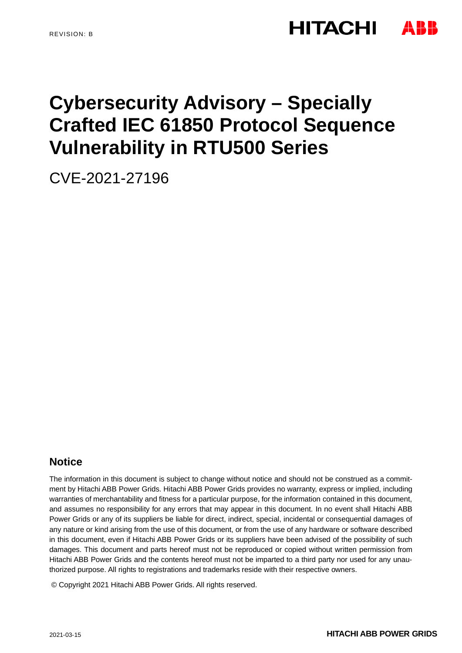# **HITACHI**

# **Cybersecurity Advisory – Specially Crafted IEC 61850 Protocol Sequence Vulnerability in RTU500 Series**

CVE-2021-27196

## **Notice**

The information in this document is subject to change without notice and should not be construed as a commitment by Hitachi ABB Power Grids. Hitachi ABB Power Grids provides no warranty, express or implied, including warranties of merchantability and fitness for a particular purpose, for the information contained in this document, and assumes no responsibility for any errors that may appear in this document. In no event shall Hitachi ABB Power Grids or any of its suppliers be liable for direct, indirect, special, incidental or consequential damages of any nature or kind arising from the use of this document, or from the use of any hardware or software described in this document, even if Hitachi ABB Power Grids or its suppliers have been advised of the possibility of such damages. This document and parts hereof must not be reproduced or copied without written permission from Hitachi ABB Power Grids and the contents hereof must not be imparted to a third party nor used for any unauthorized purpose. All rights to registrations and trademarks reside with their respective owners.

© Copyright 2021 Hitachi ABB Power Grids. All rights reserved.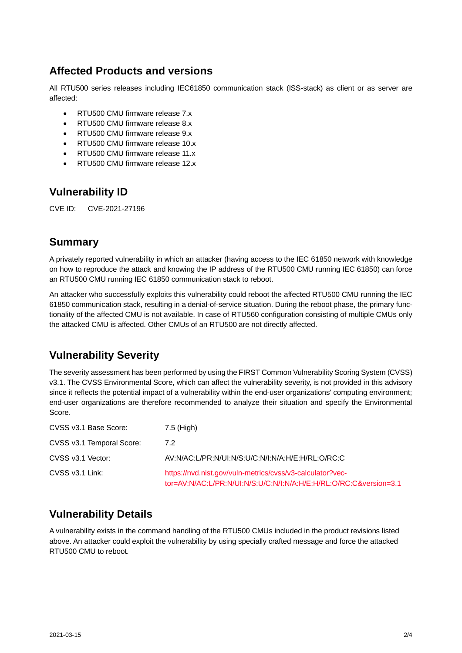## **Affected Products and versions**

All RTU500 series releases including IEC61850 communication stack (ISS-stack) as client or as server are affected:

- RTU500 CMU firmware release 7.x
- RTU500 CMU firmware release 8.x
- RTU500 CMU firmware release 9.x
- RTU500 CMU firmware release 10.x
- RTU500 CMU firmware release 11.x
- RTU500 CMU firmware release 12.x

## **Vulnerability ID**

CVE ID: CVE-2021-27196

## **Summary**

A privately reported vulnerability in which an attacker (having access to the IEC 61850 network with knowledge on how to reproduce the attack and knowing the IP address of the RTU500 CMU running IEC 61850) can force an RTU500 CMU running IEC 61850 communication stack to reboot.

An attacker who successfully exploits this vulnerability could reboot the affected RTU500 CMU running the IEC 61850 communication stack, resulting in a denial-of-service situation. During the reboot phase, the primary functionality of the affected CMU is not available. In case of RTU560 configuration consisting of multiple CMUs only the attacked CMU is affected. Other CMUs of an RTU500 are not directly affected.

# **Vulnerability Severity**

The severity assessment has been performed by using the FIRST Common Vulnerability Scoring System (CVSS) v3.1. The CVSS Environmental Score, which can affect the vulnerability severity, is not provided in this advisory since it reflects the potential impact of a vulnerability within the end-user organizations' computing environment; end-user organizations are therefore recommended to analyze their situation and specify the Environmental Score.

| CVSS v3.1 Base Score:     | 7.5 (High)                                                                                                                     |
|---------------------------|--------------------------------------------------------------------------------------------------------------------------------|
| CVSS v3.1 Temporal Score: | 7.2                                                                                                                            |
| CVSS v3.1 Vector:         | AV:N/AC:L/PR:N/UI:N/S:U/C:N/I:N/A:H/E:H/RL:O/RC:C                                                                              |
| CVSS v3.1 Link:           | https://nvd.nist.gov/vuln-metrics/cvss/v3-calculator?vec-<br>tor=AV:N/AC:L/PR:N/UI:N/S:U/C:N/I:N/A:H/E:H/RL:O/RC:C&version=3.1 |

# **Vulnerability Details**

A vulnerability exists in the command handling of the RTU500 CMUs included in the product revisions listed above. An attacker could exploit the vulnerability by using specially crafted message and force the attacked RTU500 CMU to reboot.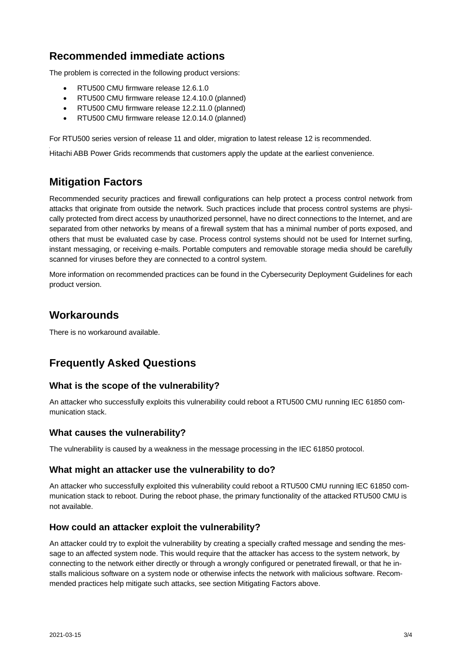## **Recommended immediate actions**

The problem is corrected in the following product versions:

- RTU500 CMU firmware release 12.6.1.0
- RTU500 CMU firmware release 12.4.10.0 (planned)
- RTU500 CMU firmware release 12.2.11.0 (planned)
- RTU500 CMU firmware release 12.0.14.0 (planned)

For RTU500 series version of release 11 and older, migration to latest release 12 is recommended.

Hitachi ABB Power Grids recommends that customers apply the update at the earliest convenience.

## **Mitigation Factors**

Recommended security practices and firewall configurations can help protect a process control network from attacks that originate from outside the network. Such practices include that process control systems are physically protected from direct access by unauthorized personnel, have no direct connections to the Internet, and are separated from other networks by means of a firewall system that has a minimal number of ports exposed, and others that must be evaluated case by case. Process control systems should not be used for Internet surfing, instant messaging, or receiving e-mails. Portable computers and removable storage media should be carefully scanned for viruses before they are connected to a control system.

More information on recommended practices can be found in the Cybersecurity Deployment Guidelines for each product version.

### **Workarounds**

There is no workaround available.

# **Frequently Asked Questions**

#### **What is the scope of the vulnerability?**

An attacker who successfully exploits this vulnerability could reboot a RTU500 CMU running IEC 61850 communication stack.

#### **What causes the vulnerability?**

The vulnerability is caused by a weakness in the message processing in the IEC 61850 protocol.

#### **What might an attacker use the vulnerability to do?**

An attacker who successfully exploited this vulnerability could reboot a RTU500 CMU running IEC 61850 communication stack to reboot. During the reboot phase, the primary functionality of the attacked RTU500 CMU is not available.

#### **How could an attacker exploit the vulnerability?**

An attacker could try to exploit the vulnerability by creating a specially crafted message and sending the message to an affected system node. This would require that the attacker has access to the system network, by connecting to the network either directly or through a wrongly configured or penetrated firewall, or that he installs malicious software on a system node or otherwise infects the network with malicious software. Recommended practices help mitigate such attacks, see section Mitigating Factors above.